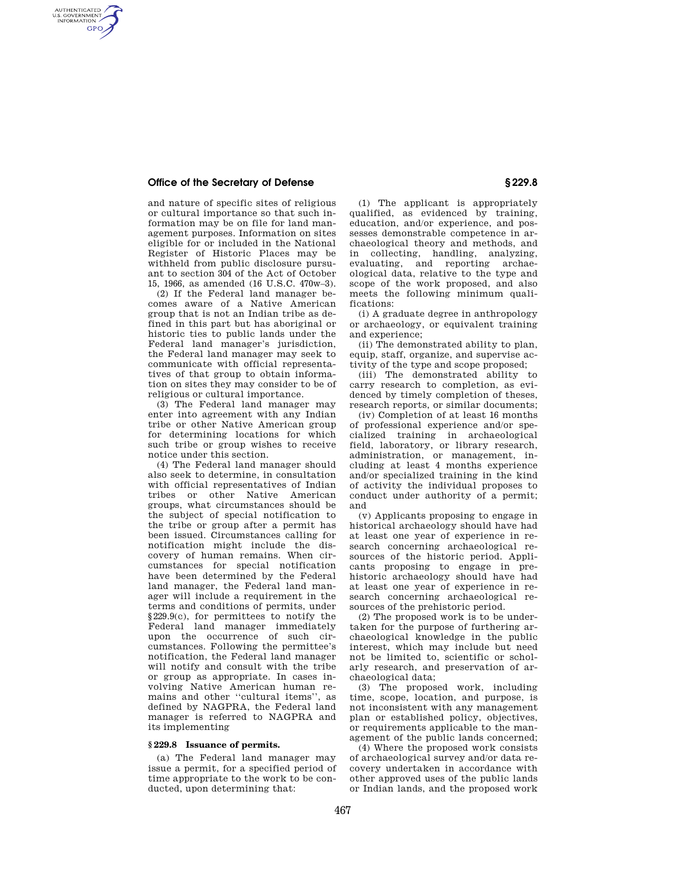# **Office of the Secretary of Defense § 229.8**

AUTHENTICATED<br>U.S. GOVERNMENT<br>INFORMATION **GPO** 

> and nature of specific sites of religious or cultural importance so that such information may be on file for land management purposes. Information on sites eligible for or included in the National Register of Historic Places may be withheld from public disclosure pursuant to section 304 of the Act of October 15, 1966, as amended (16 U.S.C. 470w–3).

> (2) If the Federal land manager becomes aware of a Native American group that is not an Indian tribe as defined in this part but has aboriginal or historic ties to public lands under the Federal land manager's jurisdiction, the Federal land manager may seek to communicate with official representatives of that group to obtain information on sites they may consider to be of religious or cultural importance.

> (3) The Federal land manager may enter into agreement with any Indian tribe or other Native American group for determining locations for which such tribe or group wishes to receive notice under this section.

> (4) The Federal land manager should also seek to determine, in consultation with official representatives of Indian tribes or other Native American groups, what circumstances should be the subject of special notification to the tribe or group after a permit has been issued. Circumstances calling for notification might include the discovery of human remains. When circumstances for special notification have been determined by the Federal land manager, the Federal land manager will include a requirement in the terms and conditions of permits, under §229.9(c), for permittees to notify the Federal land manager immediately upon the occurrence of such circumstances. Following the permittee's notification, the Federal land manager will notify and consult with the tribe or group as appropriate. In cases involving Native American human remains and other ''cultural items'', as defined by NAGPRA, the Federal land manager is referred to NAGPRA and its implementing

## **§ 229.8 Issuance of permits.**

(a) The Federal land manager may issue a permit, for a specified period of time appropriate to the work to be conducted, upon determining that:

(1) The applicant is appropriately qualified, as evidenced by training, education, and/or experience, and possesses demonstrable competence in archaeological theory and methods, and in collecting, handling, analyzing, evaluating, and reporting archaeological data, relative to the type and scope of the work proposed, and also meets the following minimum qualifications:

(i) A graduate degree in anthropology or archaeology, or equivalent training and experience;

(ii) The demonstrated ability to plan, equip, staff, organize, and supervise activity of the type and scope proposed;

(iii) The demonstrated ability to carry research to completion, as evidenced by timely completion of theses, research reports, or similar documents;

(iv) Completion of at least 16 months of professional experience and/or specialized training in archaeological field, laboratory, or library research, administration, or management, including at least 4 months experience and/or specialized training in the kind of activity the individual proposes to conduct under authority of a permit; and

(v) Applicants proposing to engage in historical archaeology should have had at least one year of experience in research concerning archaeological resources of the historic period. Applicants proposing to engage in prehistoric archaeology should have had at least one year of experience in research concerning archaeological resources of the prehistoric period.

(2) The proposed work is to be undertaken for the purpose of furthering archaeological knowledge in the public interest, which may include but need not be limited to, scientific or scholarly research, and preservation of archaeological data;

(3) The proposed work, including time, scope, location, and purpose, is not inconsistent with any management plan or established policy, objectives, or requirements applicable to the management of the public lands concerned;

(4) Where the proposed work consists of archaeological survey and/or data recovery undertaken in accordance with other approved uses of the public lands or Indian lands, and the proposed work